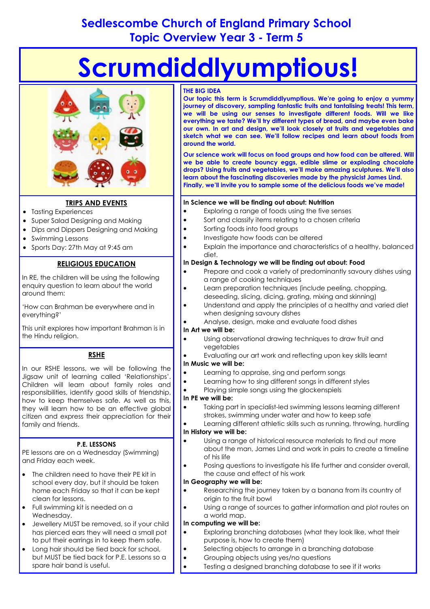# **Sedlescombe Church of England Primary School Topic Overview Year 3 - Term 5**

# **Scrumdiddlyumptious!**



# **TRIPS AND EVENTS**

- Tasting Experiences
- Super Salad Designing and Making
- Dips and Dippers Designing and Making
- Swimming Lessons
- Sports Day: 27th May at 9:45 am

# **RELIGIOUS EDUCATION**

In RE, the children will be using the following enquiry question to learn about the world around them:

'How can Brahman be everywhere and in everything?'

This unit explores how important Brahman is in the Hindu religion.

# **RSHE**

In our RSHE lessons, we will be following the Jigsaw unit of learning called 'Relationships'. Children will learn about family roles and responsibilities, identify good skills of friendship, how to keep themselves safe. As well as this, they will learn how to be an effective global citizen and express their appreciation for their family and friends.

# **P.E. LESSONS**

PE lessons are on a Wednesday (Swimming) and Friday each week.

- The children need to have their PE kit in school every day, but it should be taken home each Friday so that it can be kept clean for lessons.
- Full swimming kit is needed on a Wednesday.
- Jewellery MUST be removed, so if your child has pierced ears they will need a small pot to put their earrings in to keep them safe.
- Long hair should be tied back for school, but MUST be tied back for P.E. Lessons so a spare hair band is useful.

#### **THE BIG IDEA**

**Our topic this term is Scrumdiddlyumptious. We're going to enjoy a yummy journey of discovery, sampling fantastic fruits and tantalising treats! This term, we will be using our senses to investigate different foods. Will we like everything we taste? We'll try different types of bread, and maybe even bake our own. In art and design, we'll look closely at fruits and vegetables and sketch what we can see. We'll follow recipes and learn about foods from around the world.**

**Our science work will focus on food groups and how food can be altered. Will we be able to create bouncy eggs, edible slime or exploding chocolate drops? Using fruits and vegetables, we'll make amazing sculptures. We'll also learn about the fascinating discoveries made by the physicist James Lind. Finally, we'll invite you to sample some of the delicious foods we've made!** 

#### **In Science we will be finding out about: Nutrition**

- Exploring a range of foods using the five senses
- Sort and classify items relating to a chosen criteria
- Sorting foods into food groups
- Investigate how foods can be altered
- Explain the importance and characteristics of a healthy, balanced diet.

#### **In Design & Technology we will be finding out about: Food**

- Prepare and cook a variety of predominantly savoury dishes using a range of cooking techniques
- Learn preparation techniques (include peeling, chopping, deseeding, slicing, dicing, grating, mixing and skinning)
- Understand and apply the principles of a healthy and varied diet when designing savoury dishes
- Analyse, design, make and evaluate food dishes

#### **In Art we will be:**

- Using observational drawing techniques to draw fruit and vegetables
- Evaluating our art work and reflecting upon key skills learnt

#### **In Music we will be:**

- Learning to appraise, sing and perform songs
- Learning how to sing different songs in different styles
- Playing simple songs using the glockenspiels

# **In PE we will be:**

- Taking part in specialist-led swimming lessons learning different strokes, swimming under water and how to keep safe
- Learning different athletic skills such as running, throwing, hurdling **In History we will be:**
- Using a range of historical resource materials to find out more about the man, James Lind and work in pairs to create a timeline of his life
- Posing questions to investigate his life further and consider overall, the cause and effect of his work

# **In Geography we will be:**

- Researching the journey taken by a banana from its country of origin to the fruit bowl
- Using a range of sources to gather information and plot routes on a world map.

#### **In computing we will be:**

- Exploring branching databases (what they look like, what their purpose is, how to create them)
- Selecting objects to arrange in a branching database
- Grouping objects using yes/no questions
- Testing a designed branching database to see if it works